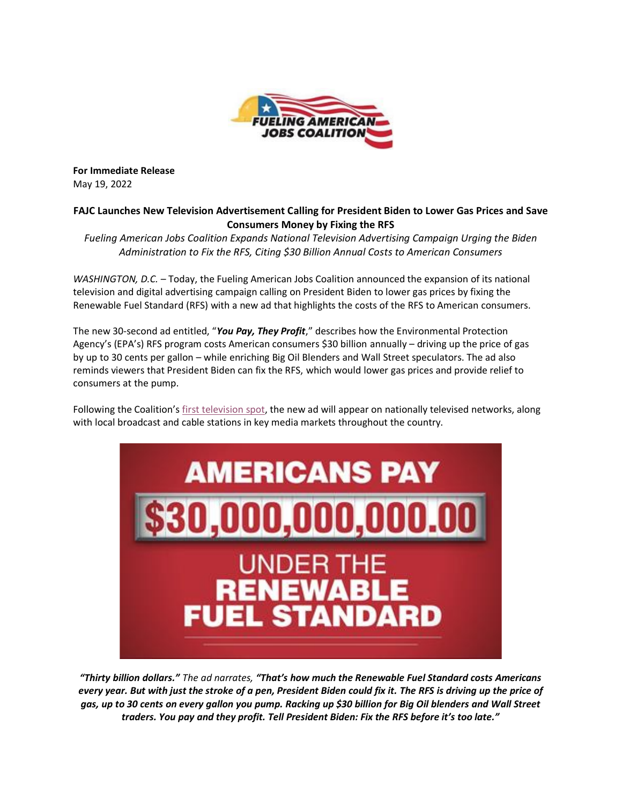

**For Immediate Release** May 19, 2022

## **FAJC Launches New Television Advertisement Calling for President Biden to Lower Gas Prices and Save Consumers Money by Fixing the RFS**

*Fueling American Jobs Coalition Expands National Television Advertising Campaign Urging the Biden Administration to Fix the RFS, Citing \$30 Billion Annual Costs to American Consumers*

*WASHINGTON, D.C.* – Today, the Fueling American Jobs Coalition announced the expansion of its national television and digital advertising campaign calling on President Biden to lower gas prices by fixing the Renewable Fuel Standard (RFS) with a new ad that highlights the costs of the RFS to American consumers.

The new 30-second ad entitled, "*You Pay, They Profit*," describes how the Environmental Protection Agency's (EPA's) RFS program costs American consumers \$30 billion annually – driving up the price of gas by up to 30 cents per gallon – while enriching Big Oil Blenders and Wall Street speculators. The ad also reminds viewers that President Biden can fix the RFS, which would lower gas prices and provide relief to consumers at the pump.

Following the Coalition's [first television spot,](https://urldefense.com/v3/__https:/www.youtube.com/watch?v=lV46yKV50rE__;!!MNnZV7jI4Ro!f3c923RIYobH_3iT8oEgt7XD1NdxJVMDz_mJ-2ka8FnaNi37bmtAbPYBYnzZjIz5mB7D3WaHt8Vlg6szLFqA0soW$) the new ad will appear on nationally televised networks, along with local broadcast and cable stations in key media markets throughout the country.



*"Thirty billion dollars." The ad narrates, "That's how much the Renewable Fuel Standard costs Americans every year. But with just the stroke of a pen, President Biden could fix it. The RFS is driving up the price of gas, up to 30 cents on every gallon you pump. Racking up \$30 billion for Big Oil blenders and Wall Street traders. You pay and they profit. Tell President Biden: Fix the RFS before it's too late."*